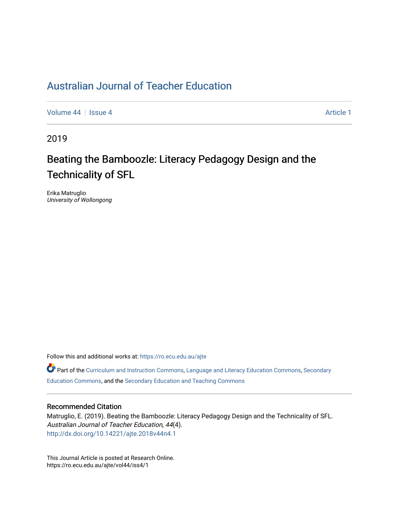# [Australian Journal of Teacher Education](https://ro.ecu.edu.au/ajte)

[Volume 44](https://ro.ecu.edu.au/ajte/vol44) | [Issue 4](https://ro.ecu.edu.au/ajte/vol44/iss4) Article 1

2019

# Beating the Bamboozle: Literacy Pedagogy Design and the Technicality of SFL

Erika Matruglio University of Wollongong

Follow this and additional works at: [https://ro.ecu.edu.au/ajte](https://ro.ecu.edu.au/ajte?utm_source=ro.ecu.edu.au%2Fajte%2Fvol44%2Fiss4%2F1&utm_medium=PDF&utm_campaign=PDFCoverPages) 

Part of the [Curriculum and Instruction Commons,](http://network.bepress.com/hgg/discipline/786?utm_source=ro.ecu.edu.au%2Fajte%2Fvol44%2Fiss4%2F1&utm_medium=PDF&utm_campaign=PDFCoverPages) [Language and Literacy Education Commons](http://network.bepress.com/hgg/discipline/1380?utm_source=ro.ecu.edu.au%2Fajte%2Fvol44%2Fiss4%2F1&utm_medium=PDF&utm_campaign=PDFCoverPages), [Secondary](http://network.bepress.com/hgg/discipline/1382?utm_source=ro.ecu.edu.au%2Fajte%2Fvol44%2Fiss4%2F1&utm_medium=PDF&utm_campaign=PDFCoverPages) [Education Commons,](http://network.bepress.com/hgg/discipline/1382?utm_source=ro.ecu.edu.au%2Fajte%2Fvol44%2Fiss4%2F1&utm_medium=PDF&utm_campaign=PDFCoverPages) and the [Secondary Education and Teaching Commons](http://network.bepress.com/hgg/discipline/809?utm_source=ro.ecu.edu.au%2Fajte%2Fvol44%2Fiss4%2F1&utm_medium=PDF&utm_campaign=PDFCoverPages) 

#### Recommended Citation

Matruglio, E. (2019). Beating the Bamboozle: Literacy Pedagogy Design and the Technicality of SFL. Australian Journal of Teacher Education, 44(4). <http://dx.doi.org/10.14221/ajte.2018v44n4.1>

This Journal Article is posted at Research Online. https://ro.ecu.edu.au/ajte/vol44/iss4/1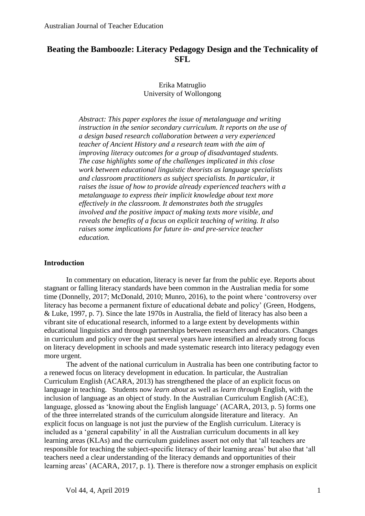## **Beating the Bamboozle: Literacy Pedagogy Design and the Technicality of SFL**

#### Erika Matruglio University of Wollongong

*Abstract: This paper explores the issue of metalanguage and writing instruction in the senior secondary curriculum. It reports on the use of a design based research collaboration between a very experienced teacher of Ancient History and a research team with the aim of improving literacy outcomes for a group of disadvantaged students. The case highlights some of the challenges implicated in this close work between educational linguistic theorists as language specialists and classroom practitioners as subject specialists. In particular, it raises the issue of how to provide already experienced teachers with a metalanguage to express their implicit knowledge about text more effectively in the classroom. It demonstrates both the struggles involved and the positive impact of making texts more visible, and reveals the benefits of a focus on explicit teaching of writing. It also raises some implications for future in- and pre-service teacher education.*

#### **Introduction**

In commentary on education, literacy is never far from the public eye. Reports about stagnant or falling literacy standards have been common in the Australian media for some time (Donnelly, 2017; McDonald, 2010; Munro, 2016), to the point where 'controversy over literacy has become a permanent fixture of educational debate and policy' (Green, Hodgens, & Luke, 1997, p. 7). Since the late 1970s in Australia, the field of literacy has also been a vibrant site of educational research, informed to a large extent by developments within educational linguistics and through partnerships between researchers and educators. Changes in curriculum and policy over the past several years have intensified an already strong focus on literacy development in schools and made systematic research into literacy pedagogy even more urgent.

The advent of the national curriculum in Australia has been one contributing factor to a renewed focus on literacy development in education. In particular, the Australian Curriculum English (ACARA, 2013) has strengthened the place of an explicit focus on language in teaching. Students now *learn about* as well as *learn through* English, with the inclusion of language as an object of study. In the Australian Curriculum English (AC:E), language, glossed as 'knowing about the English language' (ACARA, 2013, p. 5) forms one of the three interrelated strands of the curriculum alongside literature and literacy. An explicit focus on language is not just the purview of the English curriculum. Literacy is included as a 'general capability' in all the Australian curriculum documents in all key learning areas (KLAs) and the curriculum guidelines assert not only that 'all teachers are responsible for teaching the subject-specific literacy of their learning areas' but also that 'all teachers need a clear understanding of the literacy demands and opportunities of their learning areas' (ACARA, 2017, p. 1). There is therefore now a stronger emphasis on explicit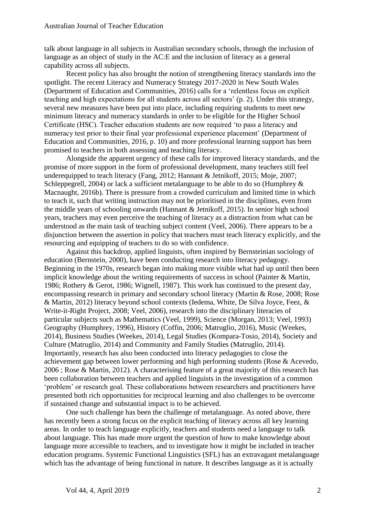talk about language in all subjects in Australian secondary schools, through the inclusion of language as an object of study in the AC:E and the inclusion of literacy as a general capability across all subjects.

Recent policy has also brought the notion of strengthening literacy standards into the spotlight. The recent Literacy and Numeracy Strategy 2017-2020 in New South Wales (Department of Education and Communities, 2016) calls for a 'relentless focus on explicit teaching and high expectations for all students across all sectors' (p. 2). Under this strategy, several new measures have been put into place, including requiring students to meet new minimum literacy and numeracy standards in order to be eligible for the Higher School Certificate (HSC). Teacher education students are now required 'to pass a literacy and numeracy test prior to their final year professional experience placement' (Department of Education and Communities, 2016, p. 10) and more professional learning support has been promised to teachers in both assessing and teaching literacy.

Alongside the apparent urgency of these calls for improved literacy standards, and the promise of more support in the form of professional development, many teachers still feel underequipped to teach literacy (Fang, 2012; Hannant & Jetnikoff, 2015; Moje, 2007; Schleppegrell, 2004) or lack a sufficient metalanguage to be able to do so (Humphrey  $\&$ Macnaught, 2016b). There is pressure from a crowded curriculum and limited time in which to teach it, such that writing instruction may not be prioritised in the disciplines, even from the middle years of schooling onwards (Hannant & Jetnikoff, 2015). In senior high school years, teachers may even perceive the teaching of literacy as a distraction from what can be understood as the main task of teaching subject content (Veel, 2006). There appears to be a disjunction between the assertion in policy that teachers must teach literacy explicitly, and the resourcing and equipping of teachers to do so with confidence.

Against this backdrop, applied linguists, often inspired by Bernsteinian sociology of education (Bernstein, 2000), have been conducting research into literacy pedagogy. Beginning in the 1970s, research began into making more visible what had up until then been implicit knowledge about the writing requirements of success in school (Painter & Martin, 1986; Rothery & Gerot, 1986; Wignell, 1987). This work has continued to the present day, encompassing research in primary and secondary school literacy (Martin & Rose, 2008; Rose & Martin, 2012) literacy beyond school contexts (Iedema, White, De Silva Joyce, Feez, & Write-it-Right Project, 2008; Veel, 2006), research into the disciplinary literacies of particular subjects such as Mathematics (Veel, 1999), Science (Morgan, 2013; Veel, 1993) Geography (Humphrey, 1996), History (Coffin, 2006; Matruglio, 2016), Music (Weekes, 2014), Business Studies (Weekes, 2014), Legal Studies (Kompara-Tosio, 2014), Society and Culture (Matruglio, 2014) and Community and Family Studies (Matruglio, 2014). Importantly, research has also been conducted into literacy pedagogies to close the achievement gap between lower performing and high performing students (Rose & Acevedo, 2006 ; Rose & Martin, 2012). A characterising feature of a great majority of this research has been collaboration between teachers and applied linguists in the investigation of a common 'problem' or research goal. These collaborations between researchers and practitioners have presented both rich opportunities for reciprocal learning and also challenges to be overcome if sustained change and substantial impact is to be achieved.

One such challenge has been the challenge of metalanguage. As noted above, there has recently been a strong focus on the explicit teaching of literacy across all key learning areas. In order to teach language explicitly, teachers and students need a language to talk about language. This has made more urgent the question of how to make knowledge about language more accessible to teachers, and to investigate how it might be included in teacher education programs. Systemic Functional Linguistics (SFL) has an extravagant metalanguage which has the advantage of being functional in nature. It describes language as it is actually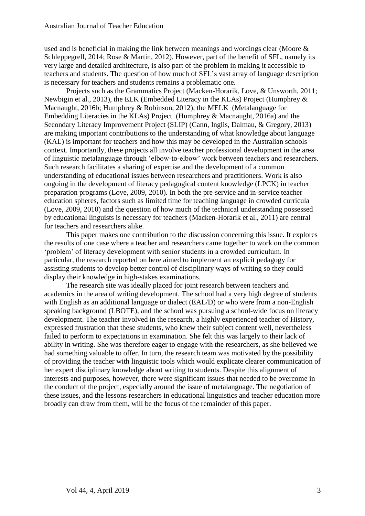used and is beneficial in making the link between meanings and wordings clear (Moore & Schleppegrell, 2014; Rose & Martin, 2012). However, part of the benefit of SFL, namely its very large and detailed architecture, is also part of the problem in making it accessible to teachers and students. The question of how much of SFL's vast array of language description is necessary for teachers and students remains a problematic one.

Projects such as the Grammatics Project (Macken-Horarik, Love, & Unsworth, 2011; Newbigin et al., 2013), the ELK (Embedded Literacy in the KLAs) Project (Humphrey & Macnaught, 2016b; Humphrey & Robinson, 2012), the MELK (Metalanguage for Embedding Literacies in the KLAs) Project (Humphrey & Macnaught, 2016a) and the Secondary Literacy Improvement Project (SLIP) (Cann, Inglis, Dalmau, & Gregory, 2013) are making important contributions to the understanding of what knowledge about language (KAL) is important for teachers and how this may be developed in the Australian schools context. Importantly, these projects all involve teacher professional development in the area of linguistic metalanguage through 'elbow-to-elbow' work between teachers and researchers. Such research facilitates a sharing of expertise and the development of a common understanding of educational issues between researchers and practitioners. Work is also ongoing in the development of literacy pedagogical content knowledge (LPCK) in teacher preparation programs (Love, 2009, 2010). In both the pre-service and in-service teacher education spheres, factors such as limited time for teaching language in crowded curricula (Love, 2009, 2010) and the question of how much of the technical understanding possessed by educational linguists is necessary for teachers (Macken-Horarik et al., 2011) are central for teachers and researchers alike.

This paper makes one contribution to the discussion concerning this issue. It explores the results of one case where a teacher and researchers came together to work on the common 'problem' of literacy development with senior students in a crowded curriculum. In particular, the research reported on here aimed to implement an explicit pedagogy for assisting students to develop better control of disciplinary ways of writing so they could display their knowledge in high-stakes examinations.

The research site was ideally placed for joint research between teachers and academics in the area of writing development. The school had a very high degree of students with English as an additional language or dialect (EAL/D) or who were from a non-English speaking background (LBOTE), and the school was pursuing a school-wide focus on literacy development. The teacher involved in the research, a highly experienced teacher of History, expressed frustration that these students, who knew their subject content well, nevertheless failed to perform to expectations in examination. She felt this was largely to their lack of ability in writing. She was therefore eager to engage with the researchers, as she believed we had something valuable to offer. In turn, the research team was motivated by the possibility of providing the teacher with linguistic tools which would explicate clearer communication of her expert disciplinary knowledge about writing to students. Despite this alignment of interests and purposes, however, there were significant issues that needed to be overcome in the conduct of the project, especially around the issue of metalanguage. The negotiation of these issues, and the lessons researchers in educational linguistics and teacher education more broadly can draw from them, will be the focus of the remainder of this paper.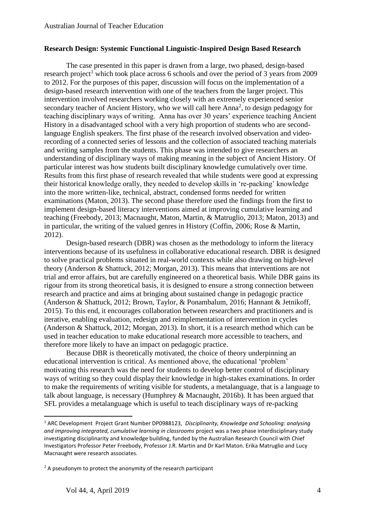#### **Research Design: Systemic Functional Linguistic-Inspired Design Based Research**

The case presented in this paper is drawn from a large, two phased, design-based research project<sup>1</sup> which took place across 6 schools and over the period of 3 years from 2009 to 2012. For the purposes of this paper, discussion will focus on the implementation of a design-based research intervention with one of the teachers from the larger project. This intervention involved researchers working closely with an extremely experienced senior secondary teacher of Ancient History, who we will call here Anna<sup>2</sup>, to design pedagogy for teaching disciplinary ways of writing. Anna has over 30 years' experience teaching Ancient History in a disadvantaged school with a very high proportion of students who are secondlanguage English speakers. The first phase of the research involved observation and videorecording of a connected series of lessons and the collection of associated teaching materials and writing samples from the students. This phase was intended to give researchers an understanding of disciplinary ways of making meaning in the subject of Ancient History. Of particular interest was how students built disciplinary knowledge cumulatively over time. Results from this first phase of research revealed that while students were good at expressing their historical knowledge orally, they needed to develop skills in 're-packing' knowledge into the more written-like, technical, abstract, condensed forms needed for written examinations (Maton, 2013). The second phase therefore used the findings from the first to implement design-based literacy interventions aimed at improving cumulative learning and teaching (Freebody, 2013; Macnaught, Maton, Martin, & Matruglio, 2013; Maton, 2013) and in particular, the writing of the valued genres in History (Coffin, 2006; Rose & Martin, 2012).

Design-based research (DBR) was chosen as the methodology to inform the literacy interventions because of its usefulness in collaborative educational research. DBR is designed to solve practical problems situated in real-world contexts while also drawing on high-level theory (Anderson & Shattuck, 2012; Morgan, 2013). This means that interventions are not trial and error affairs, but are carefully engineered on a theoretical basis. While DBR gains its rigour from its strong theoretical basis, it is designed to ensure a strong connection between research and practice and aims at bringing about sustained change in pedagogic practice (Anderson & Shattuck, 2012; Brown, Taylor, & Ponambalum, 2016; Hannant & Jetnikoff, 2015). To this end, it encourages collaboration between researchers and practitioners and is iterative, enabling evaluation, redesign and reimplementation of intervention in cycles (Anderson & Shattuck, 2012; Morgan, 2013). In short, it is a research method which can be used in teacher education to make educational research more accessible to teachers, and therefore more likely to have an impact on pedagogic practice.

Because DBR is theoretically motivated, the choice of theory underpinning an educational intervention is critical. As mentioned above, the educational 'problem' motivating this research was the need for students to develop better control of disciplinary ways of writing so they could display their knowledge in high-stakes examinations. In order to make the requirements of writing visible for students, a metalanguage, that is a language to talk about language, is necessary (Humphrey & Macnaught, 2016b). It has been argued that SFL provides a metalanguage which is useful to teach disciplinary ways of re-packing

**.** 

<sup>1</sup> ARC Development Project Grant Number DP0988123, *Disciplinarity, Knowledge and Schooling: analysing and improving integrated, cumulative learning in classrooms* project was a two phase interdisciplinary study investigating disciplinarity and knowledge building, funded by the Australian Research Council with Chief Investigators Professor Peter Freebody, Professor J.R. Martin and Dr Karl Maton. Erika Matruglio and Lucy Macnaught were research associates.

 $2A$  pseudonym to protect the anonymity of the research participant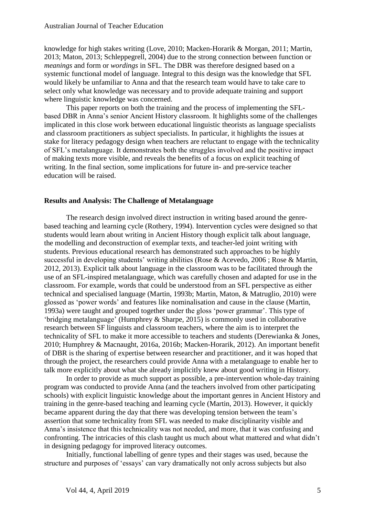knowledge for high stakes writing (Love, 2010; Macken-Horarik & Morgan, 2011; Martin, 2013; Maton, 2013; Schleppegrell, 2004) due to the strong connection between function or *meanings* and form or *wordings* in SFL. The DBR was therefore designed based on a systemic functional model of language. Integral to this design was the knowledge that SFL would likely be unfamiliar to Anna and that the research team would have to take care to select only what knowledge was necessary and to provide adequate training and support where linguistic knowledge was concerned.

This paper reports on both the training and the process of implementing the SFLbased DBR in Anna's senior Ancient History classroom. It highlights some of the challenges implicated in this close work between educational linguistic theorists as language specialists and classroom practitioners as subject specialists. In particular, it highlights the issues at stake for literacy pedagogy design when teachers are reluctant to engage with the technicality of SFL's metalanguage. It demonstrates both the struggles involved and the positive impact of making texts more visible, and reveals the benefits of a focus on explicit teaching of writing. In the final section, some implications for future in- and pre-service teacher education will be raised.

#### **Results and Analysis: The Challenge of Metalanguage**

The research design involved direct instruction in writing based around the genrebased teaching and learning cycle (Rothery, 1994). Intervention cycles were designed so that students would learn about writing in Ancient History though explicit talk about language, the modelling and deconstruction of exemplar texts, and teacher-led joint writing with students. Previous educational research has demonstrated such approaches to be highly successful in developing students' writing abilities (Rose & Acevedo, 2006 ; Rose & Martin, 2012, 2013). Explicit talk about language in the classroom was to be facilitated through the use of an SFL-inspired metalanguage, which was carefully chosen and adapted for use in the classroom. For example, words that could be understood from an SFL perspective as either technical and specialised language (Martin, 1993b; Martin, Maton, & Matruglio, 2010) were glossed as 'power words' and features like nominalisation and cause in the clause (Martin, 1993a) were taught and grouped together under the gloss 'power grammar'. This type of 'bridging metalanguage' (Humphrey & Sharpe, 2015) is commonly used in collaborative research between SF linguists and classroom teachers, where the aim is to interpret the technicality of SFL to make it more accessible to teachers and students (Derewianka & Jones, 2010; Humphrey & Macnaught, 2016a, 2016b; Macken-Horarik, 2012). An important benefit of DBR is the sharing of expertise between researcher and practitioner, and it was hoped that through the project, the researchers could provide Anna with a metalanguage to enable her to talk more explicitly about what she already implicitly knew about good writing in History.

In order to provide as much support as possible, a pre-intervention whole-day training program was conducted to provide Anna (and the teachers involved from other participating schools) with explicit linguistic knowledge about the important genres in Ancient History and training in the genre-based teaching and learning cycle (Martin, 2013). However, it quickly became apparent during the day that there was developing tension between the team's assertion that some technicality from SFL was needed to make disciplinarity visible and Anna's insistence that this technicality was not needed, and more, that it was confusing and confronting. The intricacies of this clash taught us much about what mattered and what didn't in designing pedagogy for improved literacy outcomes.

Initially, functional labelling of genre types and their stages was used, because the structure and purposes of 'essays' can vary dramatically not only across subjects but also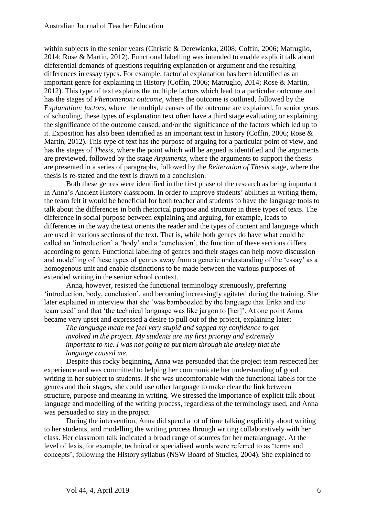within subjects in the senior years (Christie & Derewianka, 2008; Coffin, 2006; Matruglio, 2014; Rose & Martin, 2012). Functional labelling was intended to enable explicit talk about differential demands of questions requiring explanation or argument and the resulting differences in essay types. For example, factorial explanation has been identified as an important genre for explaining in History (Coffin, 2006; Matruglio, 2014; Rose & Martin, 2012). This type of text explains the multiple factors which lead to a particular outcome and has the stages of *Phenomenon: outcome*, where the outcome is outlined, followed by the E*xplanation: factors*, where the multiple causes of the outcome are explained. In senior years of schooling, these types of explanation text often have a third stage evaluating or explaining the significance of the outcome caused, and/or the significance of the factors which led up to it. Exposition has also been identified as an important text in history (Coffin, 2006; Rose & Martin, 2012). This type of text has the purpose of arguing for a particular point of view, and has the stages of *Thesis*, where the point which will be argued is identified and the arguments are previewed, followed by the stage *Arguments,* where the arguments to support the thesis are presented in a series of paragraphs, followed by the *Reiteration of Thesis* stage, where the thesis is re-stated and the text is drawn to a conclusion.

Both these genres were identified in the first phase of the research as being important in Anna's Ancient History classroom. In order to improve students' abilities in writing them, the team felt it would be beneficial for both teacher and students to have the language tools to talk about the differences in both rhetorical purpose and structure in these types of texts. The difference in social purpose between explaining and arguing, for example, leads to differences in the way the text orients the reader and the types of content and language which are used in various sections of the text. That is, while both genres do have what could be called an 'introduction' a 'body' and a 'conclusion', the function of these sections differs according to genre. Functional labelling of genres and their stages can help move discussion and modelling of these types of genres away from a generic understanding of the 'essay' as a homogenous unit and enable distinctions to be made between the various purposes of extended writing in the senior school context.

Anna, however, resisted the functional terminology strenuously, preferring 'introduction, body, conclusion', and becoming increasingly agitated during the training. She later explained in interview that she 'was bamboozled by the language that Erika and the team used' and that 'the technical language was like jargon to [her]'. At one point Anna became very upset and expressed a desire to pull out of the project, explaining later:

*The language made me feel very stupid and sapped my confidence to get involved in the project. My students are my first priority and extremely important to me. I was not going to put them through the anxiety that the language caused me.*

Despite this rocky beginning, Anna was persuaded that the project team respected her experience and was committed to helping her communicate her understanding of good writing in her subject to students. If she was uncomfortable with the functional labels for the genres and their stages, she could use other language to make clear the link between structure, purpose and meaning in writing. We stressed the importance of explicit talk about language and modelling of the writing process, regardless of the terminology used, and Anna was persuaded to stay in the project.

During the intervention, Anna did spend a lot of time talking explicitly about writing to her students, and modelling the writing process through writing collaboratively with her class. Her classroom talk indicated a broad range of sources for her metalanguage. At the level of lexis, for example, technical or specialised words were referred to as 'terms and concepts', following the History syllabus (NSW Board of Studies, 2004). She explained to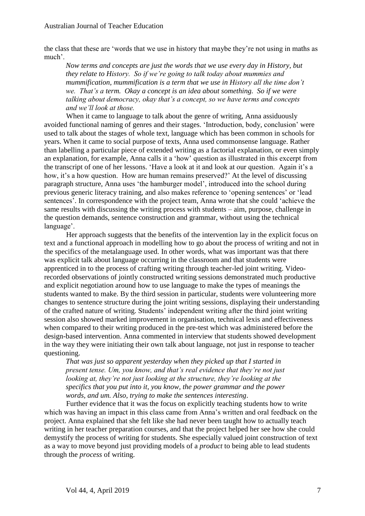the class that these are 'words that we use in history that maybe they're not using in maths as much'.

*Now terms and concepts are just the words that we use every day in History, but they relate to History. So if we're going to talk today about mummies and mummification, mummification is a term that we use in History all the time don't we. That's a term. Okay a concept is an idea about something. So if we were talking about democracy, okay that's a concept, so we have terms and concepts and we'll look at those.* 

When it came to language to talk about the genre of writing, Anna assiduously avoided functional naming of genres and their stages. 'Introduction, body, conclusion' were used to talk about the stages of whole text, language which has been common in schools for years. When it came to social purpose of texts, Anna used commonsense language. Rather than labelling a particular piece of extended writing as a factorial explanation, or even simply an explanation, for example, Anna calls it a 'how' question as illustrated in this excerpt from the transcript of one of her lessons. 'Have a look at it and look at our question. Again it's a how, it's a how question. How are human remains preserved?' At the level of discussing paragraph structure, Anna uses 'the hamburger model', introduced into the school during previous generic literacy training, and also makes reference to 'opening sentences' or 'lead sentences'. In correspondence with the project team, Anna wrote that she could 'achieve the same results with discussing the writing process with students – aim, purpose, challenge in the question demands, sentence construction and grammar, without using the technical language'.

Her approach suggests that the benefits of the intervention lay in the explicit focus on text and a functional approach in modelling how to go about the process of writing and not in the specifics of the metalanguage used. In other words, what was important was that there was explicit talk about language occurring in the classroom and that students were apprenticed in to the process of crafting writing through teacher-led joint writing. Videorecorded observations of jointly constructed writing sessions demonstrated much productive and explicit negotiation around how to use language to make the types of meanings the students wanted to make. By the third session in particular, students were volunteering more changes to sentence structure during the joint writing sessions, displaying their understanding of the crafted nature of writing. Students' independent writing after the third joint writing session also showed marked improvement in organisation, technical lexis and effectiveness when compared to their writing produced in the pre-test which was administered before the design-based intervention. Anna commented in interview that students showed development in the way they were initiating their own talk about language, not just in response to teacher questioning.

*That was just so apparent yesterday when they picked up that I started in present tense. Um, you know, and that's real evidence that they're not just looking at, they're not just looking at the structure, they're looking at the specifics that you put into it, you know, the power grammar and the power words, and um. Also, trying to make the sentences interesting*.

Further evidence that it was the focus on explicitly teaching students how to write which was having an impact in this class came from Anna's written and oral feedback on the project. Anna explained that she felt like she had never been taught how to actually teach writing in her teacher preparation courses, and that the project helped her see how she could demystify the process of writing for students. She especially valued joint construction of text as a way to move beyond just providing models of a *product* to being able to lead students through the *process* of writing.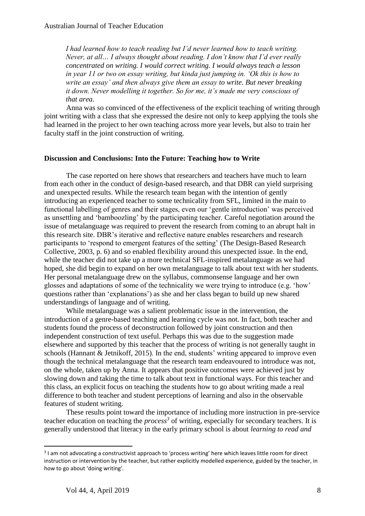*I had learned how to teach reading but I'd never learned how to teach writing. Never, at all… I always thought about reading. I don't know that I'd ever really concentrated on writing. I would correct writing. I would always teach a lesson in year 11 or two on essay writing, but kinda just jumping in. 'Ok this is how to write an essay' and then always give them an essay to write. But never breaking it down. Never modelling it together. So for me, it's made me very conscious of that area.*

Anna was so convinced of the effectiveness of the explicit teaching of writing through joint writing with a class that she expressed the desire not only to keep applying the tools she had learned in the project to her own teaching across more year levels, but also to train her faculty staff in the joint construction of writing.

#### **Discussion and Conclusions: Into the Future: Teaching how to Write**

The case reported on here shows that researchers and teachers have much to learn from each other in the conduct of design-based research, and that DBR can yield surprising and unexpected results. While the research team began with the intention of gently introducing an experienced teacher to some technicality from SFL, limited in the main to functional labelling of genres and their stages, even our 'gentle introduction' was perceived as unsettling and 'bamboozling' by the participating teacher. Careful negotiation around the issue of metalanguage was required to prevent the research from coming to an abrupt halt in this research site. DBR's iterative and reflective nature enables researchers and research participants to 'respond to emergent features of the setting' (The Design-Based Research Collective, 2003, p. 6) and so enabled flexibility around this unexpected issue. In the end, while the teacher did not take up a more technical SFL-inspired metalanguage as we had hoped, she did begin to expand on her own metalanguage to talk about text with her students. Her personal metalanguage drew on the syllabus, commonsense language and her own glosses and adaptations of some of the technicality we were trying to introduce (e.g. 'how' questions rather than 'explanations') as she and her class began to build up new shared understandings of language and of writing.

While metalanguage was a salient problematic issue in the intervention, the introduction of a genre-based teaching and learning cycle was not. In fact, both teacher and students found the process of deconstruction followed by joint construction and then independent construction of text useful. Perhaps this was due to the suggestion made elsewhere and supported by this teacher that the process of writing is not generally taught in schools (Hannant & Jetnikoff, 2015). In the end, students' writing appeared to improve even though the technical metalanguage that the research team endeavoured to introduce was not, on the whole, taken up by Anna. It appears that positive outcomes were achieved just by slowing down and taking the time to talk about text in functional ways. For this teacher and this class, an explicit focus on teaching the students how to go about writing made a real difference to both teacher and student perceptions of learning and also in the observable features of student writing.

These results point toward the importance of including more instruction in pre-service teacher education on teaching the *process 3* of writing, especially for secondary teachers. It is generally understood that literacy in the early primary school is about *learning to read and* 

**.** 

<sup>&</sup>lt;sup>3</sup> I am not advocating a constructivist approach to 'process writing' here which leaves little room for direct instruction or intervention by the teacher, but rather explicitly modelled experience, guided by the teacher, in how to go about 'doing writing'.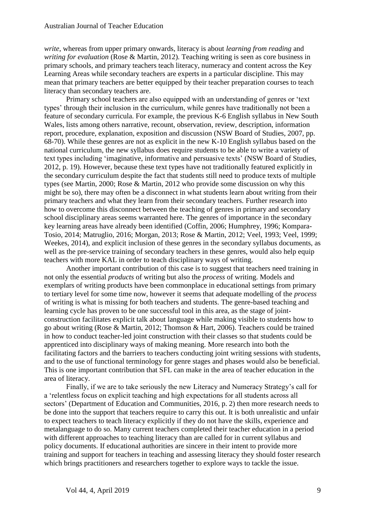*write*, whereas from upper primary onwards, literacy is about *learning from reading* and *writing for evaluation* (Rose & Martin, 2012)*.* Teaching writing is seen as core business in primary schools, and primary teachers teach literacy, numeracy and content across the Key Learning Areas while secondary teachers are experts in a particular discipline. This may mean that primary teachers are better equipped by their teacher preparation courses to teach literacy than secondary teachers are.

Primary school teachers are also equipped with an understanding of genres or 'text types' through their inclusion in the curriculum, while genres have traditionally not been a feature of secondary curricula. For example, the previous K-6 English syllabus in New South Wales, lists among others narrative, recount, observation, review, description, information report, procedure, explanation, exposition and discussion (NSW Board of Studies, 2007, pp. 68-70). While these genres are not as explicit in the new K-10 English syllabus based on the national curriculum, the new syllabus does require students to be able to write a variety of text types including 'imaginative, informative and persuasive texts' (NSW Board of Studies, 2012, p. 19). However, because these text types have not traditionally featured explicitly in the secondary curriculum despite the fact that students still need to produce texts of multiple types (see Martin, 2000; Rose & Martin, 2012 who provide some discussion on why this might be so), there may often be a disconnect in what students learn about writing from their primary teachers and what they learn from their secondary teachers. Further research into how to overcome this disconnect between the teaching of genres in primary and secondary school disciplinary areas seems warranted here. The genres of importance in the secondary key learning areas have already been identified (Coffin, 2006; Humphrey, 1996; Kompara-Tosio, 2014; Matruglio, 2016; Morgan, 2013; Rose & Martin, 2012; Veel, 1993; Veel, 1999; Weekes, 2014), and explicit inclusion of these genres in the secondary syllabus documents, as well as the pre-service training of secondary teachers in these genres, would also help equip teachers with more KAL in order to teach disciplinary ways of writing.

Another important contribution of this case is to suggest that teachers need training in not only the essential *products* of writing but also the *process* of writing. Models and exemplars of writing products have been commonplace in educational settings from primary to tertiary level for some time now, however it seems that adequate modelling of the *process*  of writing is what is missing for both teachers and students. The genre-based teaching and learning cycle has proven to be one successful tool in this area, as the stage of jointconstruction facilitates explicit talk about language while making visible to students how to go about writing (Rose & Martin, 2012; Thomson & Hart, 2006). Teachers could be trained in how to conduct teacher-led joint construction with their classes so that students could be apprenticed into disciplinary ways of making meaning. More research into both the facilitating factors and the barriers to teachers conducting joint writing sessions with students, and to the use of functional terminology for genre stages and phases would also be beneficial. This is one important contribution that SFL can make in the area of teacher education in the area of literacy.

Finally, if we are to take seriously the new Literacy and Numeracy Strategy's call for a 'relentless focus on explicit teaching and high expectations for all students across all sectors' (Department of Education and Communities, 2016, p. 2) then more research needs to be done into the support that teachers require to carry this out. It is both unrealistic and unfair to expect teachers to teach literacy explicitly if they do not have the skills, experience and metalanguage to do so. Many current teachers completed their teacher education in a period with different approaches to teaching literacy than are called for in current syllabus and policy documents. If educational authorities are sincere in their intent to provide more training and support for teachers in teaching and assessing literacy they should foster research which brings practitioners and researchers together to explore ways to tackle the issue.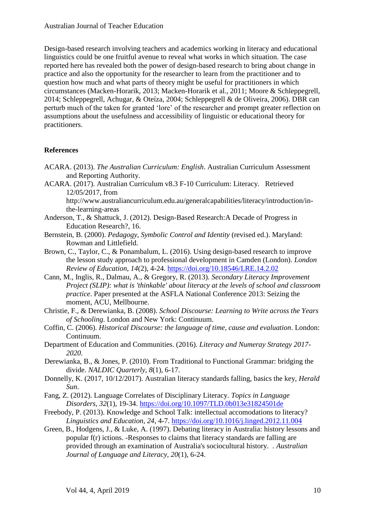Design-based research involving teachers and academics working in literacy and educational linguistics could be one fruitful avenue to reveal what works in which situation. The case reported here has revealed both the power of design-based research to bring about change in practice and also the opportunity for the researcher to learn from the practitioner and to question how much and what parts of theory might be useful for practitioners in which circumstances (Macken-Horarik, 2013; Macken-Horarik et al., 2011; Moore & Schleppegrell, 2014; Schleppegrell, Achugar, & Oteíza, 2004; Schleppegrell & de Oliveira, 2006). DBR can perturb much of the taken for granted 'lore' of the researcher and prompt greater reflection on assumptions about the usefulness and accessibility of linguistic or educational theory for practitioners.

#### **References**

- ACARA. (2013). *The Australian Curriculum: English*. Australian Curriculum Assessment and Reporting Authority.
- ACARA. (2017). Australian Curriculum v8.3 F-10 Curriculum: Literacy. Retrieved 12/05/2017, from

http://www.australiancurriculum.edu.au/generalcapabilities/literacy/introduction/inthe-learning-areas

- Anderson, T., & Shattuck, J. (2012). Design-Based Research:A Decade of Progress in Education Research?*,* 16.
- Bernstein, B. (2000). *Pedagogy, Symbolic Control and Identity* (revised ed.). Maryland: Rowman and Littlefield.
- Brown, C., Taylor, C., & Ponambalum, L. (2016). Using design-based research to improve the lesson study approach to professional development in Camden (London). *London Review of Education, 14*(2), 4-24.<https://doi.org/10.18546/LRE.14.2.02>
- Cann, M., Inglis, R., Dalmau, A., & Gregory, R. (2013). *Secondary Literacy Improvement Project (SLIP): what is 'thinkable' about literacy at the levels of school and classroom practice*. Paper presented at the ASFLA National Conference 2013: Seizing the moment, ACU, Mellbourne.
- Christie, F., & Derewianka, B. (2008). *School Discourse: Learning to Write across the Years of Schooling*. London and New York: Continuum.
- Coffin, C. (2006). *Historical Discourse: the language of time, cause and evaluation*. London: Continuum.
- Department of Education and Communities. (2016). *Literacy and Numeray Strategy 2017- 2020*.
- Derewianka, B., & Jones, P. (2010). From Traditional to Functional Grammar: bridging the divide. *NALDIC Quarterly, 8*(1), 6-17.
- Donnelly, K. (2017, 10/12/2017). Australian literacy standards falling, basics the key, *Herald Sun*.
- Fang, Z. (2012). Language Correlates of Disciplinary Literacy. *Topics in Language Disorders, 32*(1), 19-34.<https://doi.org/10.1097/TLD.0b013e31824501de>
- Freebody, P. (2013). Knowledge and School Talk: intellectual accomodations to literacy? *Linguistics and Education, 24*, 4-7.<https://doi.org/10.1016/j.linged.2012.11.004>
- Green, B., Hodgens, J., & Luke, A. (1997). Debating literacy in Australia: history lessons and popular f(r) ictions. -Responses to claims that literacy standards are falling are provided through an examination of Australia's sociocultural history. . *Australian Journal of Language and Literacy, 20*(1), 6-24.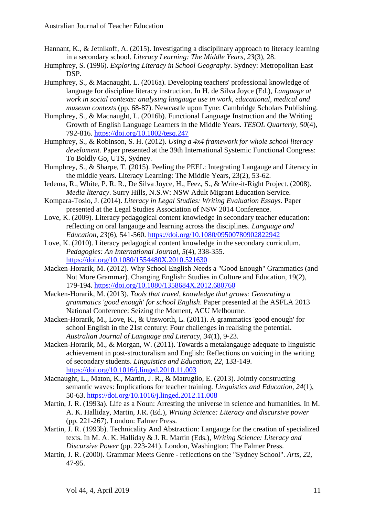- Hannant, K., & Jetnikoff, A. (2015). Investigating a disciplinary approach to literacy learning in a secondary school. *Literacy Learning: The Middle Years, 23*(3), 28.
- Humphrey, S. (1996). *Exploring Literacy in School Geography*. Sydney: Metropolitan East DSP.
- Humphrey, S., & Macnaught, L. (2016a). Developing teachers' professional knowledge of language for discipline literacy instruction. In H. de Silva Joyce (Ed.), *Language at work in social contexts: analysing langauge use in work, educational, medical and museum contexts* (pp. 68-87). Newcastle upon Tyne: Cambridge Scholars Publishing.
- Humphrey, S., & Macnaught, L. (2016b). Functional Language Instruction and the Writing Growth of English Language Learners in the Middle Years. *TESOL Quarterly, 50*(4), 792-816.<https://doi.org/10.1002/tesq.247>
- Humphrey, S., & Robinson, S. H. (2012). *Using a 4x4 framework for whole school literacy develoment.* Paper presented at the 39th International Systemic Functional Congress: To Boldly Go, UTS, Sydney.
- Humphrey, S., & Sharpe, T. (2015). Peeling the PEEL: Integrating Langauge and Literacy in the middle years. Literacy Learning: The Middle Years, 23(2), 53-62.
- Iedema, R., White, P. R. R., De Silva Joyce, H., Feez, S., & Write-it-Right Project. (2008). *Media literacy*. Surry Hills, N.S.W: NSW Adult Migrant Education Service.
- Kompara-Tosio, J. (2014). *Literacy in Legal Studies: Writing Evaluation Essays*. Paper presented at the Legal Studies Association of NSW 2014 Conference.
- Love, K. (2009). Literacy pedagogical content knowledge in secondary teacher education: reflecting on oral langauge and learning across the disciplines. *Language and Education, 23*(6), 541-560.<https://doi.org/10.1080/09500780902822942>
- Love, K. (2010). Literacy pedagogical content knowledge in the secondary curriculum. *Pedagogies: An International Journal, 5*(4), 338-355. <https://doi.org/10.1080/1554480X.2010.521630>
- Macken-Horarik, M. (2012). Why School English Needs a "Good Enough" Grammatics (and Not More Grammar). Changing English: Studies in Culture and Education, 19(2), 179-194.<https://doi.org/10.1080/1358684X.2012.680760>
- Macken-Horarik, M. (2013). *Tools that travel, knowledge that grows: Generating a grammatics 'good enough' for school English*. Paper presented at the ASFLA 2013 National Conference: Seizing the Moment, ACU Melbourne.
- Macken-Horarik, M., Love, K., & Unsworth, L. (2011). A grammatics 'good enough' for school English in the 21st century: Four challenges in realising the potential. *Australian Journal of Language and Literacy, 34*(1), 9-23.
- Macken-Horarik, M., & Morgan, W. (2011). Towards a metalangauge adequate to linguistic achievement in post-structuralism and English: Reflections on voicing in the writing of secondary students. *Linguistics and Education, 22*, 133-149. <https://doi.org/10.1016/j.linged.2010.11.003>
- Macnaught, L., Maton, K., Martin, J. R., & Matruglio, E. (2013). Jointly constructing semantic waves: Implications for teacher training. *Linguistics and Education, 24*(1), 50-63.<https://doi.org/10.1016/j.linged.2012.11.008>
- Martin, J. R. (1993a). Life as a Noun: Arresting the universe in science and humanities. In M. A. K. Halliday, Martin, J.R. (Ed.), *Writing Science: Literacy and discursive power*  (pp. 221-267). London: Falmer Press.
- Martin, J. R. (1993b). Technicality And Abstraction: Langauge for the creation of specialized texts. In M. A. K. Halliday & J. R. Martin (Eds.), *Writing Science: Literacy and Discursive Power* (pp. 223-241). London, Washington: The Falmer Press.
- Martin, J. R. (2000). Grammar Meets Genre reflections on the "Sydney School". *Arts, 22*, 47-95.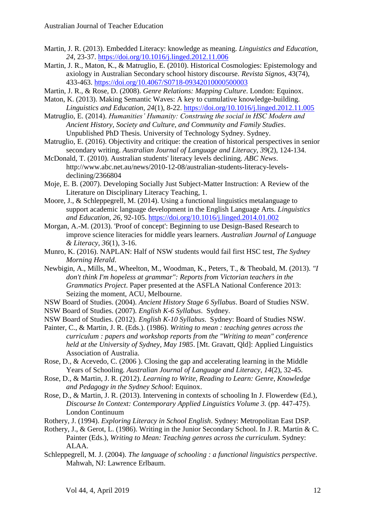- Martin, J. R. (2013). Embedded Literacy: knowledge as meaning. *Linguistics and Education, 24*, 23-37.<https://doi.org/10.1016/j.linged.2012.11.006>
- Martin, J. R., Maton, K., & Matruglio, E. (2010). Historical Cosmologies: Epistemology and axiology in Australian Secondary school history discourse. *Revista Signos*, 43(74), 433-463.<https://doi.org/10.4067/S0718-09342010000500003>
- Martin, J. R., & Rose, D. (2008). *Genre Relations: Mapping Culture*. London: Equinox.
- Maton, K. (2013). Making Semantic Waves: A key to cumulative knowledge-building. *Linguistics and Education, 24*(1), 8-22.<https://doi.org/10.1016/j.linged.2012.11.005>
- Matruglio, E. (2014). *Humanities' Humanity: Construing the social in HSC Modern and Ancient History, Society and Culture, and Community and Family Studies*. Unpublished PhD Thesis. University of Technology Sydney. Sydney.
- Matruglio, E. (2016). Objectivity and critique: the creation of historical perspectives in senior secondary writing. *Australian Journal of Language and Literacy, 39*(2), 124-134.
- McDonald, T. (2010). Australian students' literacy levels declining. *ABC News*. http://www.abc.net.au/news/2010-12-08/australian-students-literacy-levelsdeclining/2366804
- Moje, E. B. (2007). Developing Socially Just Subject-Matter Instruction: A Review of the Literature on Disciplinary Literacy Teaching*,* 1.
- Moore, J., & Schleppegrell, M. (2014). Using a functional linguistics metalanguage to support academic language development in the English Language Arts. *Linguistics and Education, 26*, 92-105.<https://doi.org/10.1016/j.linged.2014.01.002>
- Morgan, A.-M. (2013). 'Proof of concept': Beginning to use Design-Based Research to improve science literacies for middle years learners. *Australian Journal of Language & Literacy, 36*(1), 3-16.
- Munro, K. (2016). NAPLAN: Half of NSW students would fail first HSC test, *The Sydney Morning Herald*.
- Newbigin, A., Mills, M., Wheelton, M., Woodman, K., Peters, T., & Theobald, M. (2013). *"I don't think I'm hopeless at grammar": Reports from Victorian teachers in the Grammatics Project*. Paper presented at the ASFLA National Conference 2013: Seizing the moment, ACU, Melbourne.
- NSW Board of Studies. (2004). *Ancient History Stage 6 Syllabus*. Board of Studies NSW.
- NSW Board of Studies. (2007). *English K-6 Syllabus*. Sydney.
- NSW Board of Studies. (2012). *English K-10 Syllabus*. Sydney: Board of Studies NSW.
- Painter, C., & Martin, J. R. (Eds.). (1986). *Writing to mean : teaching genres across the curriculum : papers and workshop reports from the "Writing to mean" conference held at the University of Sydney, May 1985*. [Mt. Gravatt, Qld]: Applied Linguistics Association of Australia.
- Rose, D., & Acevedo, C. (2006 ). Closing the gap and accelerating learning in the Middle Years of Schooling. *Australian Journal of Language and Literacy, 14*(2), 32-45.
- Rose, D., & Martin, J. R. (2012). *Learning to Write, Reading to Learn: Genre, Knowledge and Pedagogy in the Sydney School*: Equinox.
- Rose, D., & Martin, J. R. (2013). Intervening in contexts of schooling In J. Flowerdew (Ed.), *Discourse In Context: Contemporary Applied Linguistics Volume 3. (pp. 447-475).* London Continuum
- Rothery, J. (1994). *Exploring Literacy in School English*. Sydney: Metropolitan East DSP.
- Rothery, J., & Gerot, L. (1986). Writing in the Junior Secondary School. In J. R. Martin & C. Painter (Eds.), *Writing to Mean: Teaching genres across the curriculum*. Sydney: ALAA.
- Schleppegrell, M. J. (2004). *The language of schooling : a functional linguistics perspective*. Mahwah, NJ: Lawrence Erlbaum.